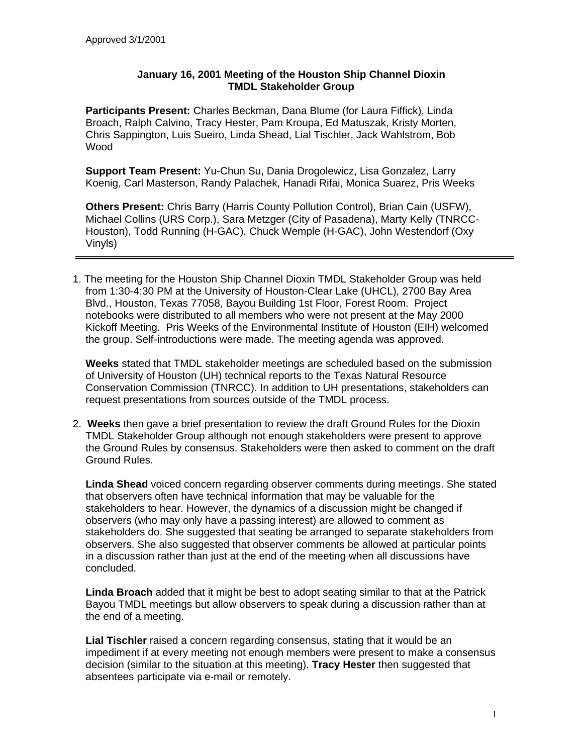## **January 16, 2001 Meeting of the Houston Ship Channel Dioxin TMDL Stakeholder Group**

**Participants Present:** Charles Beckman, Dana Blume (for Laura Fiffick), Linda Broach, Ralph Calvino, Tracy Hester, Pam Kroupa, Ed Matuszak, Kristy Morten, Chris Sappington, Luis Sueiro, Linda Shead, Lial Tischler, Jack Wahlstrom, Bob Wood

**Support Team Present:** Yu-Chun Su, Dania Drogolewicz, Lisa Gonzalez, Larry Koenig, Carl Masterson, Randy Palachek, Hanadi Rifai, Monica Suarez, Pris Weeks

**Others Present:** Chris Barry (Harris County Pollution Control), Brian Cain (USFW), Michael Collins (URS Corp.), Sara Metzger (City of Pasadena), Marty Kelly (TNRCC-Houston), Todd Running (H-GAC), Chuck Wemple (H-GAC), John Westendorf (Oxy Vinyls)

1. The meeting for the Houston Ship Channel Dioxin TMDL Stakeholder Group was held from 1:30-4:30 PM at the University of Houston-Clear Lake (UHCL), 2700 Bay Area Blvd., Houston, Texas 77058, Bayou Building 1st Floor, Forest Room. Project notebooks were distributed to all members who were not present at the May 2000 Kickoff Meeting. Pris Weeks of the Environmental Institute of Houston (EIH) welcomed the group. Self-introductions were made. The meeting agenda was approved.

**Weeks** stated that TMDL stakeholder meetings are scheduled based on the submission of University of Houston (UH) technical reports to the Texas Natural Resource Conservation Commission (TNRCC). In addition to UH presentations, stakeholders can request presentations from sources outside of the TMDL process.

2. **Weeks** then gave a brief presentation to review the draft Ground Rules for the Dioxin TMDL Stakeholder Group although not enough stakeholders were present to approve the Ground Rules by consensus. Stakeholders were then asked to comment on the draft Ground Rules.

**Linda Shead** voiced concern regarding observer comments during meetings. She stated that observers often have technical information that may be valuable for the stakeholders to hear. However, the dynamics of a discussion might be changed if observers (who may only have a passing interest) are allowed to comment as stakeholders do. She suggested that seating be arranged to separate stakeholders from observers. She also suggested that observer comments be allowed at particular points in a discussion rather than just at the end of the meeting when all discussions have concluded.

**Linda Broach** added that it might be best to adopt seating similar to that at the Patrick Bayou TMDL meetings but allow observers to speak during a discussion rather than at the end of a meeting.

**Lial Tischler** raised a concern regarding consensus, stating that it would be an impediment if at every meeting not enough members were present to make a consensus decision (similar to the situation at this meeting). **Tracy Hester** then suggested that absentees participate via e-mail or remotely.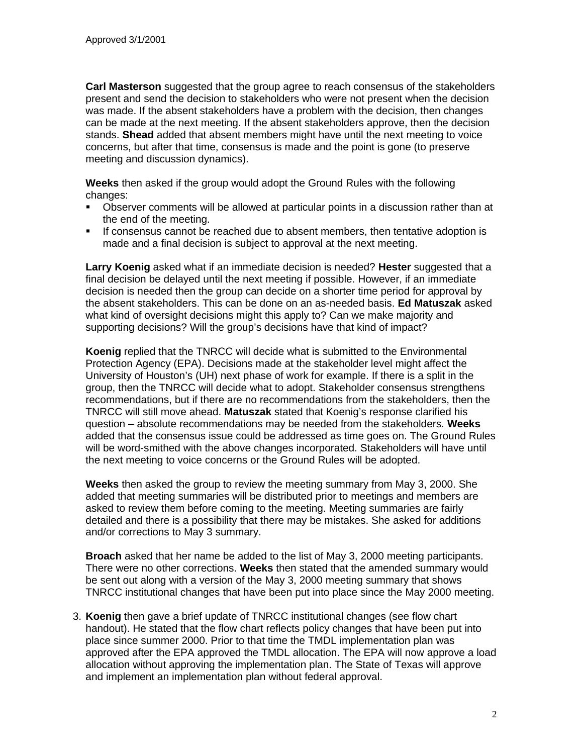**Carl Masterson** suggested that the group agree to reach consensus of the stakeholders present and send the decision to stakeholders who were not present when the decision was made. If the absent stakeholders have a problem with the decision, then changes can be made at the next meeting. If the absent stakeholders approve, then the decision stands. **Shead** added that absent members might have until the next meeting to voice concerns, but after that time, consensus is made and the point is gone (to preserve meeting and discussion dynamics).

**Weeks** then asked if the group would adopt the Ground Rules with the following changes:

- **•** Observer comments will be allowed at particular points in a discussion rather than at the end of the meeting.
- **If consensus cannot be reached due to absent members, then tentative adoption is** made and a final decision is subject to approval at the next meeting.

**Larry Koenig** asked what if an immediate decision is needed? **Hester** suggested that a final decision be delayed until the next meeting if possible. However, if an immediate decision is needed then the group can decide on a shorter time period for approval by the absent stakeholders. This can be done on an as-needed basis. **Ed Matuszak** asked what kind of oversight decisions might this apply to? Can we make majority and supporting decisions? Will the group's decisions have that kind of impact?

**Koenig** replied that the TNRCC will decide what is submitted to the Environmental Protection Agency (EPA). Decisions made at the stakeholder level might affect the University of Houston's (UH) next phase of work for example. If there is a split in the group, then the TNRCC will decide what to adopt. Stakeholder consensus strengthens recommendations, but if there are no recommendations from the stakeholders, then the TNRCC will still move ahead. **Matuszak** stated that Koenig's response clarified his question – absolute recommendations may be needed from the stakeholders. **Weeks** added that the consensus issue could be addressed as time goes on. The Ground Rules will be word-smithed with the above changes incorporated. Stakeholders will have until the next meeting to voice concerns or the Ground Rules will be adopted.

**Weeks** then asked the group to review the meeting summary from May 3, 2000. She added that meeting summaries will be distributed prior to meetings and members are asked to review them before coming to the meeting. Meeting summaries are fairly detailed and there is a possibility that there may be mistakes. She asked for additions and/or corrections to May 3 summary.

**Broach** asked that her name be added to the list of May 3, 2000 meeting participants. There were no other corrections. **Weeks** then stated that the amended summary would be sent out along with a version of the May 3, 2000 meeting summary that shows TNRCC institutional changes that have been put into place since the May 2000 meeting.

3. **Koenig** then gave a brief update of TNRCC institutional changes (see flow chart handout). He stated that the flow chart reflects policy changes that have been put into place since summer 2000. Prior to that time the TMDL implementation plan was approved after the EPA approved the TMDL allocation. The EPA will now approve a load allocation without approving the implementation plan. The State of Texas will approve and implement an implementation plan without federal approval.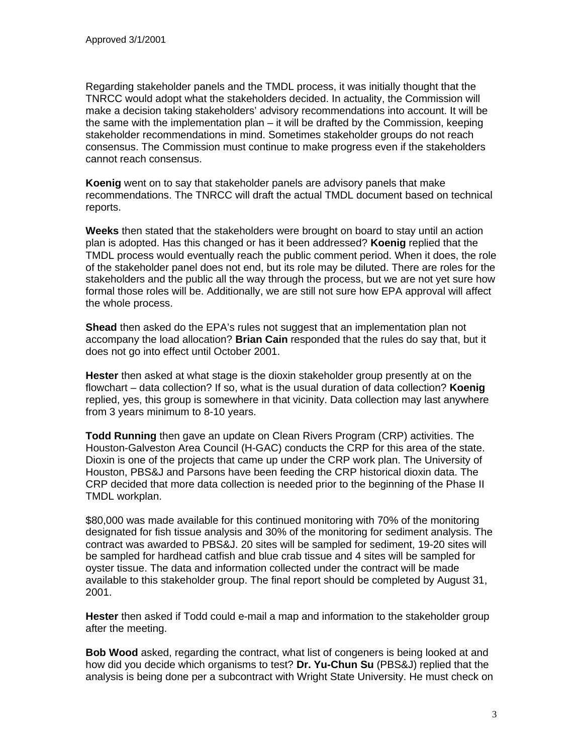Regarding stakeholder panels and the TMDL process, it was initially thought that the TNRCC would adopt what the stakeholders decided. In actuality, the Commission will make a decision taking stakeholders' advisory recommendations into account. It will be the same with the implementation plan – it will be drafted by the Commission, keeping stakeholder recommendations in mind. Sometimes stakeholder groups do not reach consensus. The Commission must continue to make progress even if the stakeholders cannot reach consensus.

**Koenig** went on to say that stakeholder panels are advisory panels that make recommendations. The TNRCC will draft the actual TMDL document based on technical reports.

**Weeks** then stated that the stakeholders were brought on board to stay until an action plan is adopted. Has this changed or has it been addressed? **Koenig** replied that the TMDL process would eventually reach the public comment period. When it does, the role of the stakeholder panel does not end, but its role may be diluted. There are roles for the stakeholders and the public all the way through the process, but we are not yet sure how formal those roles will be. Additionally, we are still not sure how EPA approval will affect the whole process.

**Shead** then asked do the EPA's rules not suggest that an implementation plan not accompany the load allocation? **Brian Cain** responded that the rules do say that, but it does not go into effect until October 2001.

**Hester** then asked at what stage is the dioxin stakeholder group presently at on the flowchart – data collection? If so, what is the usual duration of data collection? **Koenig** replied, yes, this group is somewhere in that vicinity. Data collection may last anywhere from 3 years minimum to 8-10 years.

**Todd Running** then gave an update on Clean Rivers Program (CRP) activities. The Houston-Galveston Area Council (H-GAC) conducts the CRP for this area of the state. Dioxin is one of the projects that came up under the CRP work plan. The University of Houston, PBS&J and Parsons have been feeding the CRP historical dioxin data. The CRP decided that more data collection is needed prior to the beginning of the Phase II TMDL workplan.

\$80,000 was made available for this continued monitoring with 70% of the monitoring designated for fish tissue analysis and 30% of the monitoring for sediment analysis. The contract was awarded to PBS&J. 20 sites will be sampled for sediment, 19-20 sites will be sampled for hardhead catfish and blue crab tissue and 4 sites will be sampled for oyster tissue. The data and information collected under the contract will be made available to this stakeholder group. The final report should be completed by August 31, 2001.

**Hester** then asked if Todd could e-mail a map and information to the stakeholder group after the meeting.

**Bob Wood** asked, regarding the contract, what list of congeners is being looked at and how did you decide which organisms to test? **Dr. Yu-Chun Su** (PBS&J) replied that the analysis is being done per a subcontract with Wright State University. He must check on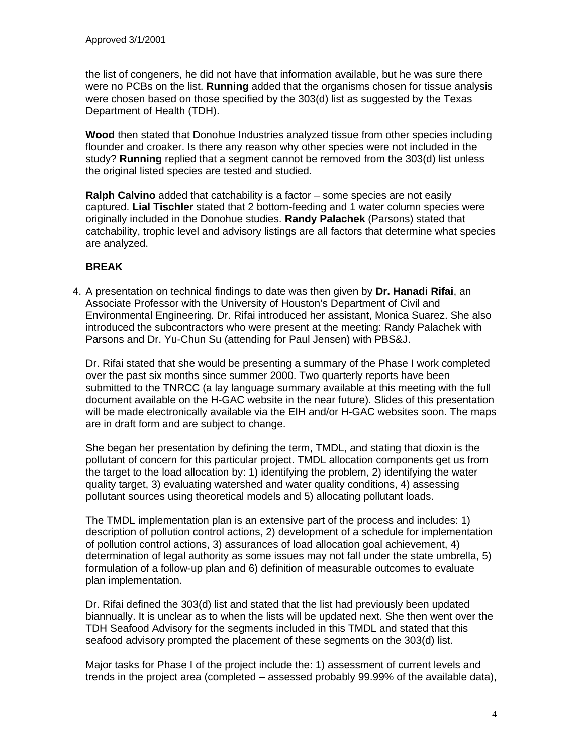the list of congeners, he did not have that information available, but he was sure there were no PCBs on the list. **Running** added that the organisms chosen for tissue analysis were chosen based on those specified by the 303(d) list as suggested by the Texas Department of Health (TDH).

**Wood** then stated that Donohue Industries analyzed tissue from other species including flounder and croaker. Is there any reason why other species were not included in the study? **Running** replied that a segment cannot be removed from the 303(d) list unless the original listed species are tested and studied.

**Ralph Calvino** added that catchability is a factor – some species are not easily captured. **Lial Tischler** stated that 2 bottom-feeding and 1 water column species were originally included in the Donohue studies. **Randy Palachek** (Parsons) stated that catchability, trophic level and advisory listings are all factors that determine what species are analyzed.

## **BREAK**

4. A presentation on technical findings to date was then given by **Dr. Hanadi Rifai**, an Associate Professor with the University of Houston's Department of Civil and Environmental Engineering. Dr. Rifai introduced her assistant, Monica Suarez. She also introduced the subcontractors who were present at the meeting: Randy Palachek with Parsons and Dr. Yu-Chun Su (attending for Paul Jensen) with PBS&J.

Dr. Rifai stated that she would be presenting a summary of the Phase I work completed over the past six months since summer 2000. Two quarterly reports have been submitted to the TNRCC (a lay language summary available at this meeting with the full document available on the H-GAC website in the near future). Slides of this presentation will be made electronically available via the EIH and/or H-GAC websites soon. The maps are in draft form and are subject to change.

She began her presentation by defining the term, TMDL, and stating that dioxin is the pollutant of concern for this particular project. TMDL allocation components get us from the target to the load allocation by: 1) identifying the problem, 2) identifying the water quality target, 3) evaluating watershed and water quality conditions, 4) assessing pollutant sources using theoretical models and 5) allocating pollutant loads.

The TMDL implementation plan is an extensive part of the process and includes: 1) description of pollution control actions, 2) development of a schedule for implementation of pollution control actions, 3) assurances of load allocation goal achievement, 4) determination of legal authority as some issues may not fall under the state umbrella, 5) formulation of a follow-up plan and 6) definition of measurable outcomes to evaluate plan implementation.

Dr. Rifai defined the 303(d) list and stated that the list had previously been updated biannually. It is unclear as to when the lists will be updated next. She then went over the TDH Seafood Advisory for the segments included in this TMDL and stated that this seafood advisory prompted the placement of these segments on the 303(d) list.

Major tasks for Phase I of the project include the: 1) assessment of current levels and trends in the project area (completed – assessed probably 99.99% of the available data),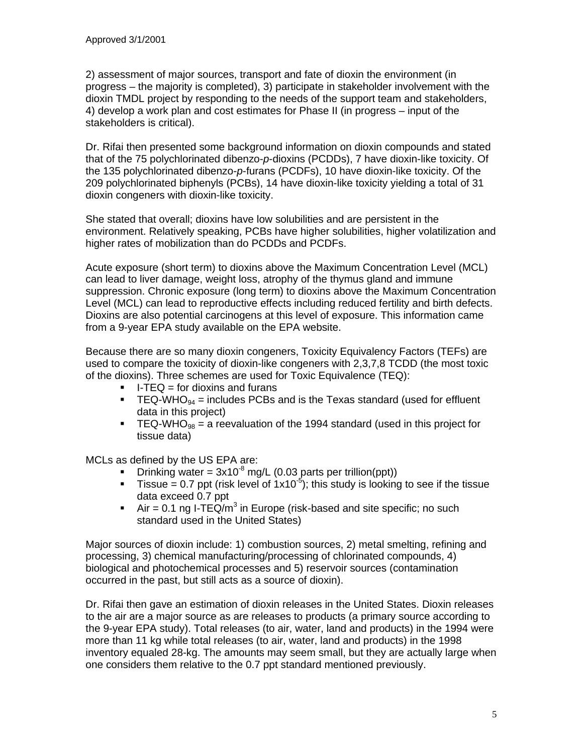2) assessment of major sources, transport and fate of dioxin the environment (in progress – the majority is completed), 3) participate in stakeholder involvement with the dioxin TMDL project by responding to the needs of the support team and stakeholders, 4) develop a work plan and cost estimates for Phase II (in progress – input of the stakeholders is critical).

Dr. Rifai then presented some background information on dioxin compounds and stated that of the 75 polychlorinated dibenzo-*p*-dioxins (PCDDs), 7 have dioxin-like toxicity. Of the 135 polychlorinated dibenzo-*p*-furans (PCDFs), 10 have dioxin-like toxicity. Of the 209 polychlorinated biphenyls (PCBs), 14 have dioxin-like toxicity yielding a total of 31 dioxin congeners with dioxin-like toxicity.

She stated that overall; dioxins have low solubilities and are persistent in the environment. Relatively speaking, PCBs have higher solubilities, higher volatilization and higher rates of mobilization than do PCDDs and PCDFs.

Acute exposure (short term) to dioxins above the Maximum Concentration Level (MCL) can lead to liver damage, weight loss, atrophy of the thymus gland and immune suppression. Chronic exposure (long term) to dioxins above the Maximum Concentration Level (MCL) can lead to reproductive effects including reduced fertility and birth defects. Dioxins are also potential carcinogens at this level of exposure. This information came from a 9-year EPA study available on the EPA website.

Because there are so many dioxin congeners, Toxicity Equivalency Factors (TEFs) are used to compare the toxicity of dioxin-like congeners with 2,3,7,8 TCDD (the most toxic of the dioxins). Three schemes are used for Toxic Equivalence (TEQ):

- $\blacksquare$  I-TEQ = for dioxins and furans
- **TEQ-WHO**<sub>94</sub> = includes PCBs and is the Texas standard (used for effluent data in this project)
- **FUMBEL TEQ-WHO**<sub>98</sub> = a reevaluation of the 1994 standard (used in this project for tissue data)

MCLs as defined by the US EPA are:

- **•** Drinking water =  $3x10^8$  mg/L (0.03 parts per trillion(ppt))
- Tissue = 0.7 ppt (risk level of  $1x10^{-5}$ ); this study is looking to see if the tissue data exceed 0.7 ppt
- Air = 0.1 ng I-TEQ/m<sup>3</sup> in Europe (risk-based and site specific; no such standard used in the United States)

Major sources of dioxin include: 1) combustion sources, 2) metal smelting, refining and processing, 3) chemical manufacturing/processing of chlorinated compounds, 4) biological and photochemical processes and 5) reservoir sources (contamination occurred in the past, but still acts as a source of dioxin).

Dr. Rifai then gave an estimation of dioxin releases in the United States. Dioxin releases to the air are a major source as are releases to products (a primary source according to the 9-year EPA study). Total releases (to air, water, land and products) in the 1994 were more than 11 kg while total releases (to air, water, land and products) in the 1998 inventory equaled 28-kg. The amounts may seem small, but they are actually large when one considers them relative to the 0.7 ppt standard mentioned previously.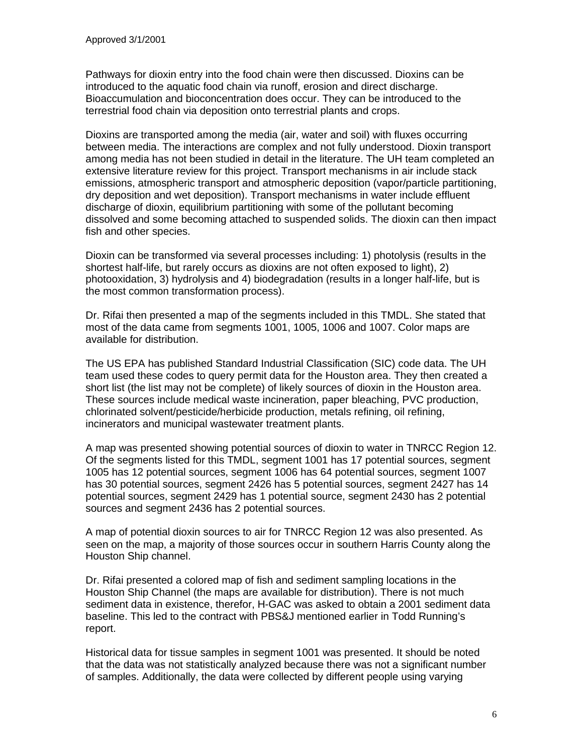Pathways for dioxin entry into the food chain were then discussed. Dioxins can be introduced to the aquatic food chain via runoff, erosion and direct discharge. Bioaccumulation and bioconcentration does occur. They can be introduced to the terrestrial food chain via deposition onto terrestrial plants and crops.

Dioxins are transported among the media (air, water and soil) with fluxes occurring between media. The interactions are complex and not fully understood. Dioxin transport among media has not been studied in detail in the literature. The UH team completed an extensive literature review for this project. Transport mechanisms in air include stack emissions, atmospheric transport and atmospheric deposition (vapor/particle partitioning, dry deposition and wet deposition). Transport mechanisms in water include effluent discharge of dioxin, equilibrium partitioning with some of the pollutant becoming dissolved and some becoming attached to suspended solids. The dioxin can then impact fish and other species.

Dioxin can be transformed via several processes including: 1) photolysis (results in the shortest half-life, but rarely occurs as dioxins are not often exposed to light), 2) photooxidation, 3) hydrolysis and 4) biodegradation (results in a longer half-life, but is the most common transformation process).

Dr. Rifai then presented a map of the segments included in this TMDL. She stated that most of the data came from segments 1001, 1005, 1006 and 1007. Color maps are available for distribution.

The US EPA has published Standard Industrial Classification (SIC) code data. The UH team used these codes to query permit data for the Houston area. They then created a short list (the list may not be complete) of likely sources of dioxin in the Houston area. These sources include medical waste incineration, paper bleaching, PVC production, chlorinated solvent/pesticide/herbicide production, metals refining, oil refining, incinerators and municipal wastewater treatment plants.

A map was presented showing potential sources of dioxin to water in TNRCC Region 12. Of the segments listed for this TMDL, segment 1001 has 17 potential sources, segment 1005 has 12 potential sources, segment 1006 has 64 potential sources, segment 1007 has 30 potential sources, segment 2426 has 5 potential sources, segment 2427 has 14 potential sources, segment 2429 has 1 potential source, segment 2430 has 2 potential sources and segment 2436 has 2 potential sources.

A map of potential dioxin sources to air for TNRCC Region 12 was also presented. As seen on the map, a majority of those sources occur in southern Harris County along the Houston Ship channel.

Dr. Rifai presented a colored map of fish and sediment sampling locations in the Houston Ship Channel (the maps are available for distribution). There is not much sediment data in existence, therefor, H-GAC was asked to obtain a 2001 sediment data baseline. This led to the contract with PBS&J mentioned earlier in Todd Running's report.

Historical data for tissue samples in segment 1001 was presented. It should be noted that the data was not statistically analyzed because there was not a significant number of samples. Additionally, the data were collected by different people using varying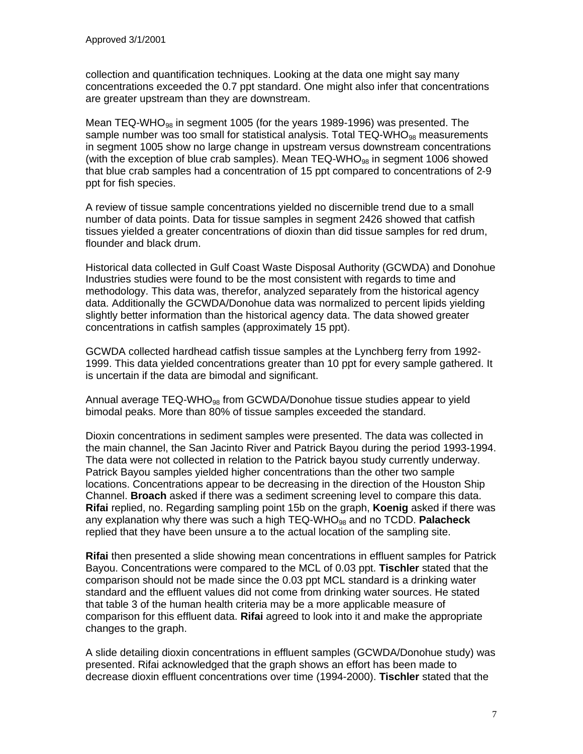collection and quantification techniques. Looking at the data one might say many concentrations exceeded the 0.7 ppt standard. One might also infer that concentrations are greater upstream than they are downstream.

Mean TEQ-WHO<sub>98</sub> in segment 1005 (for the years 1989-1996) was presented. The sample number was too small for statistical analysis. Total TEQ-WHO $_{98}$  measurements in segment 1005 show no large change in upstream versus downstream concentrations (with the exception of blue crab samples). Mean  $TEQ-WHO_{98}$  in segment 1006 showed that blue crab samples had a concentration of 15 ppt compared to concentrations of 2-9 ppt for fish species.

A review of tissue sample concentrations yielded no discernible trend due to a small number of data points. Data for tissue samples in segment 2426 showed that catfish tissues yielded a greater concentrations of dioxin than did tissue samples for red drum, flounder and black drum.

Historical data collected in Gulf Coast Waste Disposal Authority (GCWDA) and Donohue Industries studies were found to be the most consistent with regards to time and methodology. This data was, therefor, analyzed separately from the historical agency data. Additionally the GCWDA/Donohue data was normalized to percent lipids yielding slightly better information than the historical agency data. The data showed greater concentrations in catfish samples (approximately 15 ppt).

GCWDA collected hardhead catfish tissue samples at the Lynchberg ferry from 1992- 1999. This data yielded concentrations greater than 10 ppt for every sample gathered. It is uncertain if the data are bimodal and significant.

Annual average TEQ-WHO<sub>98</sub> from GCWDA/Donohue tissue studies appear to yield bimodal peaks. More than 80% of tissue samples exceeded the standard.

Dioxin concentrations in sediment samples were presented. The data was collected in the main channel, the San Jacinto River and Patrick Bayou during the period 1993-1994. The data were not collected in relation to the Patrick bayou study currently underway. Patrick Bayou samples yielded higher concentrations than the other two sample locations. Concentrations appear to be decreasing in the direction of the Houston Ship Channel. **Broach** asked if there was a sediment screening level to compare this data. **Rifai** replied, no. Regarding sampling point 15b on the graph, **Koenig** asked if there was any explanation why there was such a high TEQ-WHO<sub>98</sub> and no TCDD. Palacheck replied that they have been unsure a to the actual location of the sampling site.

**Rifai** then presented a slide showing mean concentrations in effluent samples for Patrick Bayou. Concentrations were compared to the MCL of 0.03 ppt. **Tischler** stated that the comparison should not be made since the 0.03 ppt MCL standard is a drinking water standard and the effluent values did not come from drinking water sources. He stated that table 3 of the human health criteria may be a more applicable measure of comparison for this effluent data. **Rifai** agreed to look into it and make the appropriate changes to the graph.

A slide detailing dioxin concentrations in effluent samples (GCWDA/Donohue study) was presented. Rifai acknowledged that the graph shows an effort has been made to decrease dioxin effluent concentrations over time (1994-2000). **Tischler** stated that the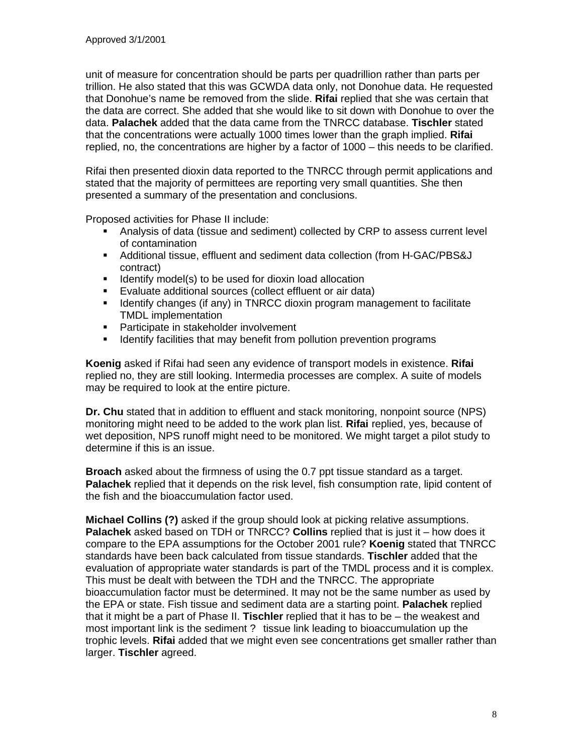unit of measure for concentration should be parts per quadrillion rather than parts per trillion. He also stated that this was GCWDA data only, not Donohue data. He requested that Donohue's name be removed from the slide. **Rifai** replied that she was certain that the data are correct. She added that she would like to sit down with Donohue to over the data. **Palachek** added that the data came from the TNRCC database. **Tischler** stated that the concentrations were actually 1000 times lower than the graph implied. **Rifai** replied, no, the concentrations are higher by a factor of 1000 – this needs to be clarified.

Rifai then presented dioxin data reported to the TNRCC through permit applications and stated that the majority of permittees are reporting very small quantities. She then presented a summary of the presentation and conclusions.

Proposed activities for Phase II include:

- Analysis of data (tissue and sediment) collected by CRP to assess current level of contamination
- ß Additional tissue, effluent and sediment data collection (from H-GAC/PBS&J contract)
- **IDENTIFY MODENTS IS USED** IS USED 10 Identify model(s) to be used for dioxin load allocation
- **Evaluate additional sources (collect effluent or air data)**
- **IDENTIFY IDENTIFY IS A IDENTIFY IS A IDENTIFY CONTEX** IDENTIFY **IDENTIFY** IDENTIFY **IDENTIFY** IDENTIFY **IDENTIFY** IDENTIFY **IDENTIFY** IDENTIFY **IDENTIFY** IDENTIFY **IDENT** IS NOT IDENTIFY IN A IDENTIFY IN A IDENTIFY IN A I TMDL implementation
- **•** Participate in stakeholder involvement
- **If Identify facilities that may benefit from pollution prevention programs**

**Koenig** asked if Rifai had seen any evidence of transport models in existence. **Rifai** replied no, they are still looking. Intermedia processes are complex. A suite of models may be required to look at the entire picture.

**Dr. Chu** stated that in addition to effluent and stack monitoring, nonpoint source (NPS) monitoring might need to be added to the work plan list. **Rifai** replied, yes, because of wet deposition, NPS runoff might need to be monitored. We might target a pilot study to determine if this is an issue.

**Broach** asked about the firmness of using the 0.7 ppt tissue standard as a target. **Palachek** replied that it depends on the risk level, fish consumption rate, lipid content of the fish and the bioaccumulation factor used.

**Michael Collins (?)** asked if the group should look at picking relative assumptions. **Palachek** asked based on TDH or TNRCC? **Collins** replied that is just it – how does it compare to the EPA assumptions for the October 2001 rule? **Koenig** stated that TNRCC standards have been back calculated from tissue standards. **Tischler** added that the evaluation of appropriate water standards is part of the TMDL process and it is complex. This must be dealt with between the TDH and the TNRCC. The appropriate bioaccumulation factor must be determined. It may not be the same number as used by the EPA or state. Fish tissue and sediment data are a starting point. **Palachek** replied that it might be a part of Phase II. **Tischler** replied that it has to be – the weakest and most important link is the sediment ? tissue link leading to bioaccumulation up the trophic levels. **Rifai** added that we might even see concentrations get smaller rather than larger. **Tischler** agreed.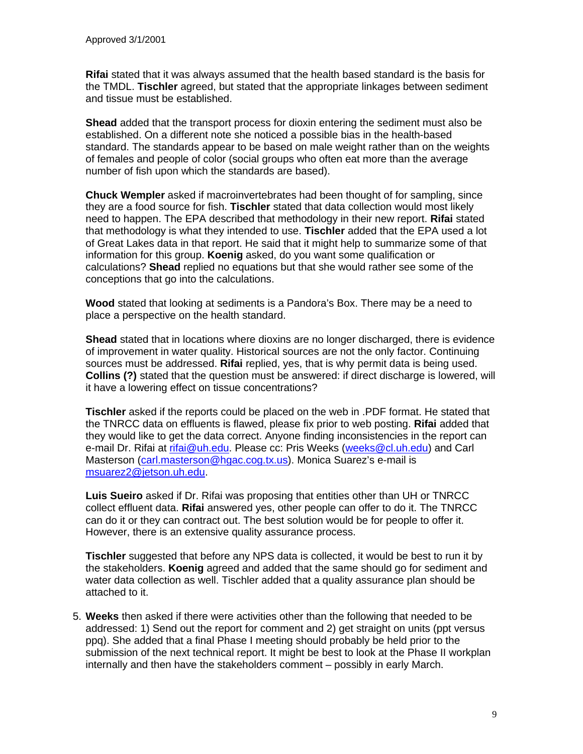**Rifai** stated that it was always assumed that the health based standard is the basis for the TMDL. **Tischler** agreed, but stated that the appropriate linkages between sediment and tissue must be established.

**Shead** added that the transport process for dioxin entering the sediment must also be established. On a different note she noticed a possible bias in the health-based standard. The standards appear to be based on male weight rather than on the weights of females and people of color (social groups who often eat more than the average number of fish upon which the standards are based).

**Chuck Wempler** asked if macroinvertebrates had been thought of for sampling, since they are a food source for fish. **Tischler** stated that data collection would most likely need to happen. The EPA described that methodology in their new report. **Rifai** stated that methodology is what they intended to use. **Tischler** added that the EPA used a lot of Great Lakes data in that report. He said that it might help to summarize some of that information for this group. **Koenig** asked, do you want some qualification or calculations? **Shead** replied no equations but that she would rather see some of the conceptions that go into the calculations.

**Wood** stated that looking at sediments is a Pandora's Box. There may be a need to place a perspective on the health standard.

**Shead** stated that in locations where dioxins are no longer discharged, there is evidence of improvement in water quality. Historical sources are not the only factor. Continuing sources must be addressed. **Rifai** replied, yes, that is why permit data is being used. **Collins (?)** stated that the question must be answered: if direct discharge is lowered, will it have a lowering effect on tissue concentrations?

**Tischler** asked if the reports could be placed on the web in .PDF format. He stated that the TNRCC data on effluents is flawed, please fix prior to web posting. **Rifai** added that they would like to get the data correct. Anyone finding inconsistencies in the report can e-mail Dr. Rifai at rifai@uh.edu. Please cc: Pris Weeks (weeks@cl.uh.edu) and Carl Masterson (carl.masterson@hgac.cog.tx.us). Monica Suarez's e-mail is msuarez2@jetson.uh.edu.

**Luis Sueiro** asked if Dr. Rifai was proposing that entities other than UH or TNRCC collect effluent data. **Rifai** answered yes, other people can offer to do it. The TNRCC can do it or they can contract out. The best solution would be for people to offer it. However, there is an extensive quality assurance process.

**Tischler** suggested that before any NPS data is collected, it would be best to run it by the stakeholders. **Koenig** agreed and added that the same should go for sediment and water data collection as well. Tischler added that a quality assurance plan should be attached to it.

5. **Weeks** then asked if there were activities other than the following that needed to be addressed: 1) Send out the report for comment and 2) get straight on units (ppt versus ppq). She added that a final Phase I meeting should probably be held prior to the submission of the next technical report. It might be best to look at the Phase II workplan internally and then have the stakeholders comment – possibly in early March.